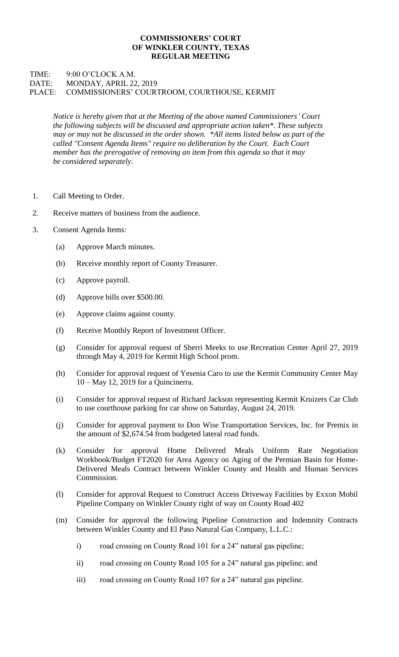## **COMMISSIONERS' COURT OF WINKLER COUNTY, TEXAS REGULAR MEETING**

## TIME: 9:00 O'CLOCK A.M. DATE: MONDAY, APRIL 22, 2019 PLACE: COMMISSIONERS' COURTROOM, COURTHOUSE, KERMIT

*Notice is hereby given that at the Meeting of the above named Commissioners' Court the following subjects will be discussed and appropriate action taken\*. These subjects may or may not be discussed in the order shown. \*All items listed below as part of the called "Consent Agenda Items" require no deliberation by the Court. Each Court member has the prerogative of removing an item from this agenda so that it may be considered separately.*

- 1. Call Meeting to Order.
- 2. Receive matters of business from the audience.
- 3. Consent Agenda Items:
	- (a) Approve March minutes.
	- (b) Receive monthly report of County Treasurer.
	- (c) Approve payroll.
	- (d) Approve bills over \$500.00.
	- (e) Approve claims against county.
	- (f) Receive Monthly Report of Investment Officer.
	- (g) Consider for approval request of Sherri Meeks to use Recreation Center April 27, 2019 through May 4, 2019 for Kermit High School prom.
	- (h) Consider for approval request of Yesenia Caro to use the Kermit Community Center May 10 – May 12, 2019 for a Quincinerra.
	- (i) Consider for approval request of Richard Jackson representing Kermit Kruizers Car Club to use courthouse parking for car show on Saturday, August 24, 2019.
	- (j) Consider for approval payment to Don Wise Transportation Services, Inc. for Premix in the amount of \$2,674.54 from budgeted lateral road funds.
	- (k) Consider for approval Home Delivered Meals Uniform Rate Negotiation Workbook/Budget FT2020 for Area Agency on Aging of the Permian Basin for Home-Delivered Meals Contract between Winkler County and Health and Human Services Commission.
	- (l) Consider for approval Request to Construct Access Driveway Facilities by Exxon Mobil Pipeline Company on Winkler County right of way on County Road 402
	- (m) Consider for approval the following Pipeline Construction and Indemnity Contracts between Winkler County and El Paso Natural Gas Company, L.L.C.:
		- i) road crossing on County Road 101 for a 24" natural gas pipeline;
		- ii) road crossing on County Road 105 for a 24" natural gas pipeline; and
		- iii) road crossing on County Road 107 for a 24" natural gas pipeline.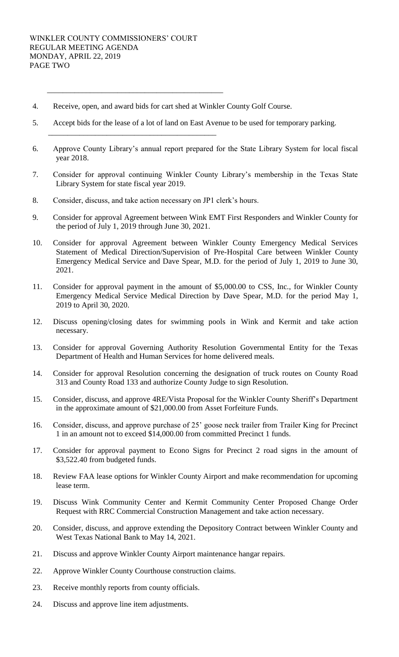\_\_\_\_\_\_\_\_\_\_\_\_\_\_\_\_\_\_\_\_\_\_\_\_\_\_\_\_\_\_\_\_\_\_\_\_\_\_\_\_\_\_\_\_\_

\_\_\_\_\_\_\_\_\_\_\_\_\_\_\_\_\_\_\_\_\_\_\_\_\_\_\_\_\_\_\_\_\_\_\_\_\_\_\_\_\_\_\_

- 4. Receive, open, and award bids for cart shed at Winkler County Golf Course.
- 5. Accept bids for the lease of a lot of land on East Avenue to be used for temporary parking.
- 6. Approve County Library's annual report prepared for the State Library System for local fiscal year 2018.
- 7. Consider for approval continuing Winkler County Library's membership in the Texas State Library System for state fiscal year 2019.
- 8. Consider, discuss, and take action necessary on JP1 clerk's hours.
- 9. Consider for approval Agreement between Wink EMT First Responders and Winkler County for the period of July 1, 2019 through June 30, 2021.
- 10. Consider for approval Agreement between Winkler County Emergency Medical Services Statement of Medical Direction/Supervision of Pre-Hospital Care between Winkler County Emergency Medical Service and Dave Spear, M.D. for the period of July 1, 2019 to June 30, 2021.
- 11. Consider for approval payment in the amount of \$5,000.00 to CSS, Inc., for Winkler County Emergency Medical Service Medical Direction by Dave Spear, M.D. for the period May 1, 2019 to April 30, 2020.
- 12. Discuss opening/closing dates for swimming pools in Wink and Kermit and take action necessary.
- 13. Consider for approval Governing Authority Resolution Governmental Entity for the Texas Department of Health and Human Services for home delivered meals.
- 14. Consider for approval Resolution concerning the designation of truck routes on County Road 313 and County Road 133 and authorize County Judge to sign Resolution.
- 15. Consider, discuss, and approve 4RE/Vista Proposal for the Winkler County Sheriff's Department in the approximate amount of \$21,000.00 from Asset Forfeiture Funds.
- 16. Consider, discuss, and approve purchase of 25' goose neck trailer from Trailer King for Precinct 1 in an amount not to exceed \$14,000.00 from committed Precinct 1 funds.
- 17. Consider for approval payment to Econo Signs for Precinct 2 road signs in the amount of \$3,522.40 from budgeted funds.
- 18. Review FAA lease options for Winkler County Airport and make recommendation for upcoming lease term.
- 19. Discuss Wink Community Center and Kermit Community Center Proposed Change Order Request with RRC Commercial Construction Management and take action necessary.
- 20. Consider, discuss, and approve extending the Depository Contract between Winkler County and West Texas National Bank to May 14, 2021.
- 21. Discuss and approve Winkler County Airport maintenance hangar repairs.
- 22. Approve Winkler County Courthouse construction claims.
- 23. Receive monthly reports from county officials.
- 24. Discuss and approve line item adjustments.